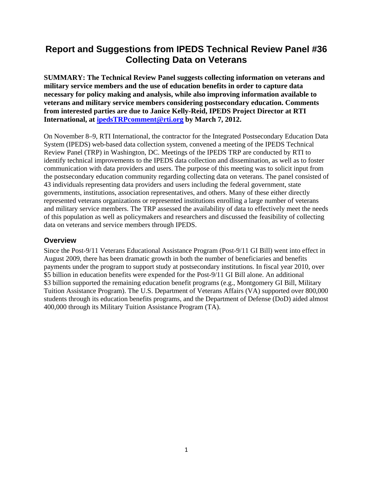# **Report and Suggestions from IPEDS Technical Review Panel #36 Collecting Data on Veterans**

**SUMMARY: The Technical Review Panel suggests collecting information on veterans and military service members and the use of education benefits in order to capture data necessary for policy making and analysis, while also improving information available to veterans and military service members considering postsecondary education. Comments from interested parties are due to Janice Kelly-Reid, IPEDS Project Director at RTI International, at ipedsTRPcomment@rti.org by March 7, 2012.** 

On November 8–9, RTI International, the contractor for the Integrated Postsecondary Education Data System (IPEDS) web-based data collection system, convened a meeting of the IPEDS Technical Review Panel (TRP) in Washington, DC. Meetings of the IPEDS TRP are conducted by RTI to identify technical improvements to the IPEDS data collection and dissemination, as well as to foster communication with data providers and users. The purpose of this meeting was to solicit input from the postsecondary education community regarding collecting data on veterans. The panel consisted of 43 individuals representing data providers and users including the federal government, state governments, institutions, association representatives, and others. Many of these either directly represented veterans organizations or represented institutions enrolling a large number of veterans and military service members. The TRP assessed the availability of data to effectively meet the needs of this population as well as policymakers and researchers and discussed the feasibility of collecting data on veterans and service members through IPEDS.

### **Overview**

Since the Post-9/11 Veterans Educational Assistance Program (Post-9/11 GI Bill) went into effect in August 2009, there has been dramatic growth in both the number of beneficiaries and benefits payments under the program to support study at postsecondary institutions. In fiscal year 2010, over \$5 billion in education benefits were expended for the Post-9/11 GI Bill alone. An additional \$3 billion supported the remaining education benefit programs (e.g., Montgomery GI Bill, Military Tuition Assistance Program). The U.S. Department of Veterans Affairs (VA) supported over 800,000 students through its education benefits programs, and the Department of Defense (DoD) aided almost 400,000 through its Military Tuition Assistance Program (TA).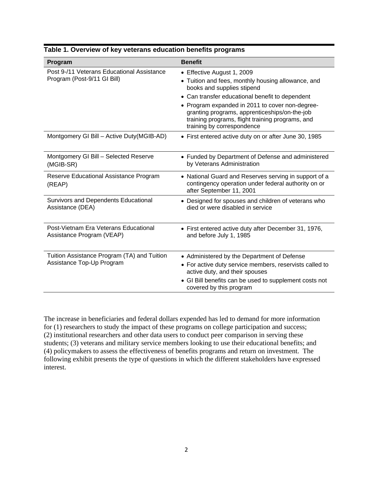| Program                                                                   | <b>Benefit</b>                                                                                                                                                                                                                                                                                                                                          |
|---------------------------------------------------------------------------|---------------------------------------------------------------------------------------------------------------------------------------------------------------------------------------------------------------------------------------------------------------------------------------------------------------------------------------------------------|
| Post 9-/11 Veterans Educational Assistance<br>Program (Post-9/11 GI Bill) | • Effective August 1, 2009<br>• Tuition and fees, monthly housing allowance, and<br>books and supplies stipend<br>• Can transfer educational benefit to dependent<br>• Program expanded in 2011 to cover non-degree-<br>granting programs, apprenticeships/on-the-job<br>training programs, flight training programs, and<br>training by correspondence |
| Montgomery GI Bill - Active Duty(MGIB-AD)                                 | • First entered active duty on or after June 30, 1985                                                                                                                                                                                                                                                                                                   |
| Montgomery GI Bill - Selected Reserve<br>(MGIB-SR)                        | • Funded by Department of Defense and administered<br>by Veterans Administration                                                                                                                                                                                                                                                                        |
| Reserve Educational Assistance Program<br>(REAP)                          | • National Guard and Reserves serving in support of a<br>contingency operation under federal authority on or<br>after September 11, 2001                                                                                                                                                                                                                |
| Survivors and Dependents Educational<br>Assistance (DEA)                  | • Designed for spouses and children of veterans who<br>died or were disabled in service                                                                                                                                                                                                                                                                 |
| Post-Vietnam Era Veterans Educational<br>Assistance Program (VEAP)        | • First entered active duty after December 31, 1976,<br>and before July 1, 1985                                                                                                                                                                                                                                                                         |
| Tuition Assistance Program (TA) and Tuition<br>Assistance Top-Up Program  | • Administered by the Department of Defense<br>• For active duty service members, reservists called to<br>active duty, and their spouses                                                                                                                                                                                                                |
|                                                                           | • GI Bill benefits can be used to supplement costs not<br>covered by this program                                                                                                                                                                                                                                                                       |

#### **Table 1. Overview of key veterans education benefits programs**

The increase in beneficiaries and federal dollars expended has led to demand for more information for (1) researchers to study the impact of these programs on college participation and success; (2) institutional researchers and other data users to conduct peer comparison in serving these students; (3) veterans and military service members looking to use their educational benefits; and (4) policymakers to assess the effectiveness of benefits programs and return on investment. The following exhibit presents the type of questions in which the different stakeholders have expressed interest.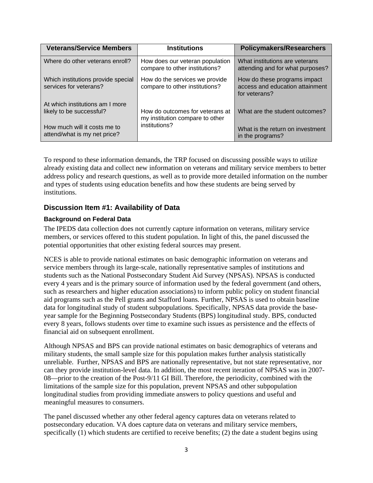| <b>Veterans/Service Members</b>                              | <b>Institutions</b>                                                                 | <b>Policymakers/Researchers</b>                                                  |
|--------------------------------------------------------------|-------------------------------------------------------------------------------------|----------------------------------------------------------------------------------|
| Where do other veterans enroll?                              | How does our veteran population<br>compare to other institutions?                   | What institutions are veterans<br>attending and for what purposes?               |
| Which institutions provide special<br>services for veterans? | How do the services we provide<br>compare to other institutions?                    | How do these programs impact<br>access and education attainment<br>for veterans? |
| At which institutions am I more<br>likely to be successful?  | How do outcomes for veterans at<br>my institution compare to other<br>institutions? | What are the student outcomes?                                                   |
| How much will it costs me to<br>attend/what is my net price? |                                                                                     | What is the return on investment<br>in the programs?                             |

To respond to these information demands, the TRP focused on discussing possible ways to utilize already existing data and collect new information on veterans and military service members to better address policy and research questions, as well as to provide more detailed information on the number and types of students using education benefits and how these students are being served by institutions.

# **Discussion Item #1: Availability of Data**

### **Background on Federal Data**

The IPEDS data collection does not currently capture information on veterans, military service members, or services offered to this student population. In light of this, the panel discussed the potential opportunities that other existing federal sources may present.

NCES is able to provide national estimates on basic demographic information on veterans and service members through its large-scale, nationally representative samples of institutions and students such as the National Postsecondary Student Aid Survey (NPSAS). NPSAS is conducted every 4 years and is the primary source of information used by the federal government (and others, such as researchers and higher education associations) to inform public policy on student financial aid programs such as the Pell grants and Stafford loans. Further, NPSAS is used to obtain baseline data for longitudinal study of student subpopulations. Specifically, NPSAS data provide the baseyear sample for the Beginning Postsecondary Students (BPS) longitudinal study. BPS, conducted every 8 years, follows students over time to examine such issues as persistence and the effects of financial aid on subsequent enrollment.

Although NPSAS and BPS can provide national estimates on basic demographics of veterans and military students, the small sample size for this population makes further analysis statistically unreliable. Further, NPSAS and BPS are nationally representative, but not state representative, nor can they provide institution-level data. In addition, the most recent iteration of NPSAS was in 2007- 08—prior to the creation of the Post-9/11 GI Bill. Therefore, the periodicity, combined with the limitations of the sample size for this population, prevent NPSAS and other subpopulation longitudinal studies from providing immediate answers to policy questions and useful and meaningful measures to consumers.

The panel discussed whether any other federal agency captures data on veterans related to postsecondary education. VA does capture data on veterans and military service members, specifically (1) which students are certified to receive benefits; (2) the date a student begins using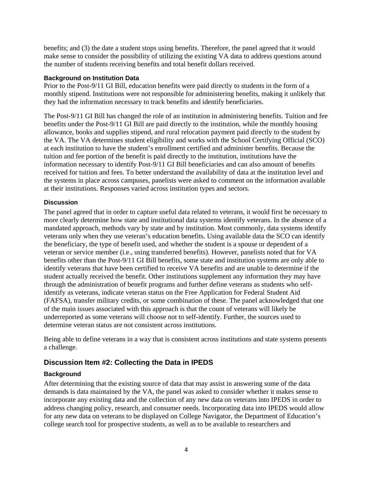benefits; and (3) the date a student stops using benefits. Therefore, the panel agreed that it would make sense to consider the possibility of utilizing the existing VA data to address questions around the number of students receiving benefits and total benefit dollars received.

#### **Background on Institution Data**

Prior to the Post-9/11 GI Bill, education benefits were paid directly to students in the form of a monthly stipend. Institutions were not responsible for administering benefits, making it unlikely that they had the information necessary to track benefits and identify beneficiaries.

The Post-9/11 GI Bill has changed the role of an institution in administering benefits. Tuition and fee benefits under the Post-9/11 GI Bill are paid directly to the institution, while the monthly housing allowance, books and supplies stipend, and rural relocation payment paid directly to the student by the VA. The VA determines student eligibility and works with the School Certifying Official (SCO) at each institution to have the student's enrollment certified and administer benefits. Because the tuition and fee portion of the benefit is paid directly to the institution, institutions have the information necessary to identify Post-9/11 GI Bill beneficiaries and can also amount of benefits received for tuition and fees. To better understand the availability of data at the institution level and the systems in place across campuses, panelists were asked to comment on the information available at their institutions. Responses varied across institution types and sectors.

### **Discussion**

The panel agreed that in order to capture useful data related to veterans, it would first be necessary to more clearly determine how state and institutional data systems identify veterans. In the absence of a mandated approach, methods vary by state and by institution. Most commonly, data systems identify veterans only when they use veteran's education benefits. Using available data the SCO can identify the beneficiary, the type of benefit used, and whether the student is a spouse or dependent of a veteran or service member (i.e., using transferred benefits). However, panelists noted that for VA benefits other than the Post-9/11 GI Bill benefits, some state and institution systems are only able to identify veterans that have been certified to receive VA benefits and are unable to determine if the student actually received the benefit. Other institutions supplement any information they may have through the administration of benefit programs and further define veterans as students who selfidentify as veterans, indicate veteran status on the Free Application for Federal Student Aid (FAFSA), transfer military credits, or some combination of these. The panel acknowledged that one of the main issues associated with this approach is that the count of veterans will likely be underreported as some veterans will choose not to self-identify. Further, the sources used to determine veteran status are not consistent across institutions.

Being able to define veterans in a way that is consistent across institutions and state systems presents a challenge.

# **Discussion Item #2: Collecting the Data in IPEDS**

### **Background**

After determining that the existing source of data that may assist in answering some of the data demands is data maintained by the VA, the panel was asked to consider whether it makes sense to incorporate any existing data and the collection of any new data on veterans into IPEDS in order to address changing policy, research, and consumer needs. Incorporating data into IPEDS would allow for any new data on veterans to be displayed on College Navigator, the Department of Education's college search tool for prospective students, as well as to be available to researchers and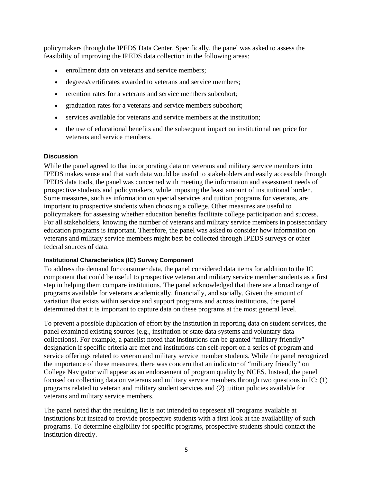policymakers through the IPEDS Data Center. Specifically, the panel was asked to assess the feasibility of improving the IPEDS data collection in the following areas:

- enrollment data on veterans and service members;
- degrees/certificates awarded to veterans and service members;
- retention rates for a veterans and service members subcohort;
- graduation rates for a veterans and service members subcohort;
- services available for veterans and service members at the institution;
- the use of educational benefits and the subsequent impact on institutional net price for veterans and service members.

#### **Discussion**

While the panel agreed to that incorporating data on veterans and military service members into IPEDS makes sense and that such data would be useful to stakeholders and easily accessible through IPEDS data tools, the panel was concerned with meeting the information and assessment needs of prospective students and policymakers, while imposing the least amount of institutional burden. Some measures, such as information on special services and tuition programs for veterans, are important to prospective students when choosing a college. Other measures are useful to policymakers for assessing whether education benefits facilitate college participation and success. For all stakeholders, knowing the number of veterans and military service members in postsecondary education programs is important. Therefore, the panel was asked to consider how information on veterans and military service members might best be collected through IPEDS surveys or other federal sources of data.

#### **Institutional Characteristics (IC) Survey Component**

To address the demand for consumer data, the panel considered data items for addition to the IC component that could be useful to prospective veteran and military service member students as a first step in helping them compare institutions. The panel acknowledged that there are a broad range of programs available for veterans academically, financially, and socially. Given the amount of variation that exists within service and support programs and across institutions, the panel determined that it is important to capture data on these programs at the most general level.

To prevent a possible duplication of effort by the institution in reporting data on student services, the panel examined existing sources (e.g., institution or state data systems and voluntary data collections). For example, a panelist noted that institutions can be granted "military friendly" designation if specific criteria are met and institutions can self-report on a series of program and service offerings related to veteran and military service member students. While the panel recognized the importance of these measures, there was concern that an indicator of "military friendly" on College Navigator will appear as an endorsement of program quality by NCES. Instead, the panel focused on collecting data on veterans and military service members through two questions in IC: (1) programs related to veteran and military student services and (2) tuition policies available for veterans and military service members.

The panel noted that the resulting list is not intended to represent all programs available at institutions but instead to provide prospective students with a first look at the availability of such programs. To determine eligibility for specific programs, prospective students should contact the institution directly.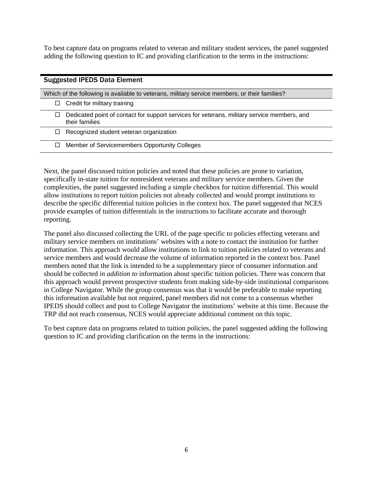To best capture data on programs related to veteran and military student services, the panel suggested adding the following question to IC and providing clarification to the terms in the instructions:

| <b>Suggested IPEDS Data Element</b>                                                                           |
|---------------------------------------------------------------------------------------------------------------|
| Which of the following is available to veterans, military service members, or their families?                 |
| Credit for military training                                                                                  |
| Dedicated point of contact for support services for veterans, military service members, and<br>their families |
| Recognized student veteran organization                                                                       |
| Member of Servicemembers Opportunity Colleges                                                                 |

Next, the panel discussed tuition policies and noted that these policies are prone to variation, specifically in-state tuition for nonresident veterans and military service members. Given the complexities, the panel suggested including a simple checkbox for tuition differential. This would allow institutions to report tuition policies not already collected and would prompt institutions to describe the specific differential tuition policies in the context box. The panel suggested that NCES provide examples of tuition differentials in the instructions to facilitate accurate and thorough reporting.

The panel also discussed collecting the URL of the page specific to policies effecting veterans and military service members on institutions' websites with a note to contact the institution for further information. This approach would allow institutions to link to tuition policies related to veterans and service members and would decrease the volume of information reported in the context box. Panel members noted that the link is intended to be a supplementary piece of consumer information and should be collected *in addition to* information about specific tuition policies. There was concern that this approach would prevent prospective students from making side-by-side institutional comparisons in College Navigator. While the group consensus was that it would be preferable to make reporting this information available but not required, panel members did not come to a consensus whether IPEDS should collect and post to College Navigator the institutions' website at this time. Because the TRP did not reach consensus, NCES would appreciate additional comment on this topic.

To best capture data on programs related to tuition policies, the panel suggested adding the following question to IC and providing clarification on the terms in the instructions: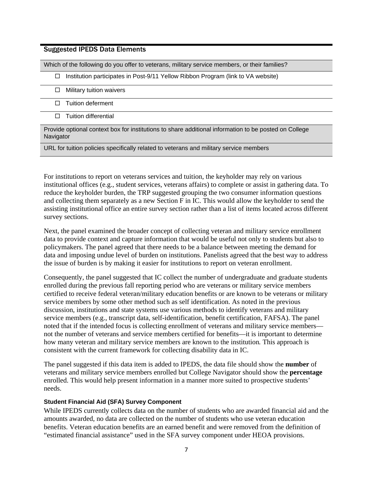### Suggested IPEDS Data Elements

Which of the following do you offer to veterans, military service members, or their families?

 $\Box$  Institution participates in Post-9/11 Yellow Ribbon Program (link to VA website)

- $\Box$  Military tuition waivers
- $\Box$  Tuition deferment
- $\Box$  Tuition differential

Provide optional context box for institutions to share additional information to be posted on College **Navigator** 

URL for tuition policies specifically related to veterans and military service members

For institutions to report on veterans services and tuition, the keyholder may rely on various institutional offices (e.g., student services, veterans affairs) to complete or assist in gathering data. To reduce the keyholder burden, the TRP suggested grouping the two consumer information questions and collecting them separately as a new Section F in IC. This would allow the keyholder to send the assisting institutional office an entire survey section rather than a list of items located across different survey sections.

Next, the panel examined the broader concept of collecting veteran and military service enrollment data to provide context and capture information that would be useful not only to students but also to policymakers. The panel agreed that there needs to be a balance between meeting the demand for data and imposing undue level of burden on institutions. Panelists agreed that the best way to address the issue of burden is by making it easier for institutions to report on veteran enrollment.

Consequently, the panel suggested that IC collect the number of undergraduate and graduate students enrolled during the previous fall reporting period who are veterans or military service members certified to receive federal veteran/military education benefits or are known to be veterans or military service members by some other method such as self identification. As noted in the previous discussion, institutions and state systems use various methods to identify veterans and military service members (e.g., transcript data, self-identification, benefit certification, FAFSA). The panel noted that if the intended focus is collecting enrollment of veterans and military service members not the number of veterans and service members certified for benefits—it is important to determine how many veteran and military service members are known to the institution*.* This approach is consistent with the current framework for collecting disability data in IC.

The panel suggested if this data item is added to IPEDS, the data file should show the **number** of veterans and military service members enrolled but College Navigator should show the **percentage** enrolled. This would help present information in a manner more suited to prospective students' needs.

#### **Student Financial Aid (SFA) Survey Component**

While IPEDS currently collects data on the number of students who are awarded financial aid and the amounts awarded, no data are collected on the number of students who use veteran education benefits. Veteran education benefits are an earned benefit and were removed from the definition of "estimated financial assistance" used in the SFA survey component under HEOA provisions.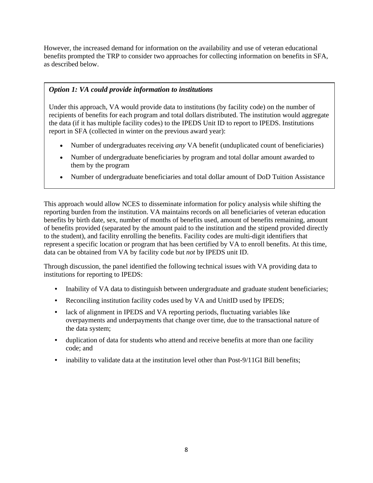However, the increased demand for information on the availability and use of veteran educational benefits prompted the TRP to consider two approaches for collecting information on benefits in SFA, as described below.

# *Option 1: VA could provide information to institutions*

Under this approach, VA would provide data to institutions (by facility code) on the number of recipients of benefits for each program and total dollars distributed. The institution would aggregate the data (if it has multiple facility codes) to the IPEDS Unit ID to report to IPEDS. Institutions report in SFA (collected in winter on the previous award year):

- Number of undergraduates receiving *any* VA benefit (unduplicated count of beneficiaries)
- Number of undergraduate beneficiaries by program and total dollar amount awarded to them by the program
- Number of undergraduate beneficiaries and total dollar amount of DoD Tuition Assistance

This approach would allow NCES to disseminate information for policy analysis while shifting the reporting burden from the institution. VA maintains records on all beneficiaries of veteran education benefits by birth date, sex, number of months of benefits used, amount of benefits remaining, amount of benefits provided (separated by the amount paid to the institution and the stipend provided directly to the student), and facility enrolling the benefits. Facility codes are multi-digit identifiers that represent a specific location or program that has been certified by VA to enroll benefits. At this time, data can be obtained from VA by facility code but *not* by IPEDS unit ID.

Through discussion, the panel identified the following technical issues with VA providing data to institutions for reporting to IPEDS:

- Inability of VA data to distinguish between undergraduate and graduate student beneficiaries;
- Reconciling institution facility codes used by VA and UnitID used by IPEDS;
- lack of alignment in IPEDS and VA reporting periods, fluctuating variables like overpayments and underpayments that change over time, due to the transactional nature of the data system;
- duplication of data for students who attend and receive benefits at more than one facility code; and
- inability to validate data at the institution level other than Post-9/11GI Bill benefits;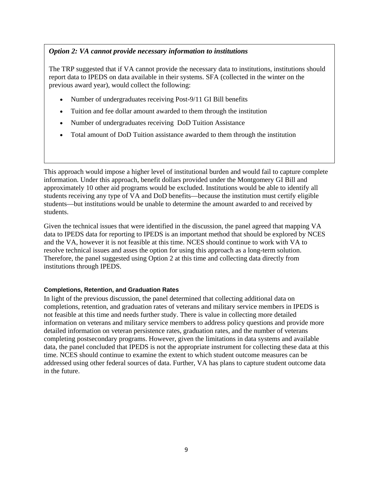### *Option 2: VA cannot provide necessary information to institutions*

The TRP suggested that if VA cannot provide the necessary data to institutions, institutions should report data to IPEDS on data available in their systems. SFA (collected in the winter on the previous award year), would collect the following:

- Number of undergraduates receiving Post-9/11 GI Bill benefits
- Tuition and fee dollar amount awarded to them through the institution
- Number of undergraduates receiving DoD Tuition Assistance
- Total amount of DoD Tuition assistance awarded to them through the institution

This approach would impose a higher level of institutional burden and would fail to capture complete information. Under this approach, benefit dollars provided under the Montgomery GI Bill and approximately 10 other aid programs would be excluded. Institutions would be able to identify all students receiving any type of VA and DoD benefits—because the institution must certify eligible students—but institutions would be unable to determine the amount awarded to and received by students.

Given the technical issues that were identified in the discussion, the panel agreed that mapping VA data to IPEDS data for reporting to IPEDS is an important method that should be explored by NCES and the VA, however it is not feasible at this time. NCES should continue to work with VA to resolve technical issues and asses the option for using this approach as a long-term solution. Therefore, the panel suggested using Option 2 at this time and collecting data directly from institutions through IPEDS.

### **Completions, Retention, and Graduation Rates**

In light of the previous discussion, the panel determined that collecting additional data on completions, retention, and graduation rates of veterans and military service members in IPEDS is not feasible at this time and needs further study. There is value in collecting more detailed information on veterans and military service members to address policy questions and provide more detailed information on veteran persistence rates, graduation rates, and the number of veterans completing postsecondary programs. However, given the limitations in data systems and available data, the panel concluded that IPEDS is not the appropriate instrument for collecting these data at this time. NCES should continue to examine the extent to which student outcome measures can be addressed using other federal sources of data. Further, VA has plans to capture student outcome data in the future.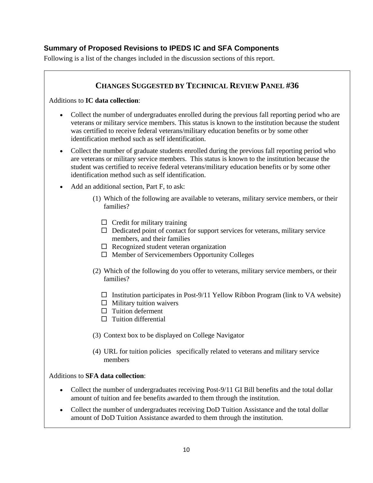# **Summary of Proposed Revisions to IPEDS IC and SFA Components**

Following is a list of the changes included in the discussion sections of this report.

# **CHANGES SUGGESTED BY TECHNICAL REVIEW PANEL #36**

Additions to **IC data collection**:

- Collect the number of undergraduates enrolled during the previous fall reporting period who are veterans or military service members. This status is known to the institution because the student was certified to receive federal veterans/military education benefits or by some other identification method such as self identification.
- Collect the number of graduate students enrolled during the previous fall reporting period who are veterans or military service members. This status is known to the institution because the student was certified to receive federal veterans/military education benefits or by some other identification method such as self identification.
- Add an additional section, Part F, to ask:
	- (1) Which of the following are available to veterans, military service members, or their families?
		- $\Box$  Credit for military training
		- $\Box$  Dedicated point of contact for support services for veterans, military service members, and their families
		- $\Box$  Recognized student veteran organization
		- $\Box$  Member of Servicemembers Opportunity Colleges
	- (2) Which of the following do you offer to veterans, military service members, or their families?
		- $\square$  Institution participates in Post-9/11 Yellow Ribbon Program (link to VA website)
		- $\Box$  Military tuition waivers
		- $\Box$  Tuition deferment
		- $\Box$  Tuition differential
	- (3) Context box to be displayed on College Navigator
	- (4) URL for tuition policies specifically related to veterans and military service members

### Additions to **SFA data collection**:

- Collect the number of undergraduates receiving Post-9/11 GI Bill benefits and the total dollar amount of tuition and fee benefits awarded to them through the institution.
- Collect the number of undergraduates receiving DoD Tuition Assistance and the total dollar amount of DoD Tuition Assistance awarded to them through the institution.